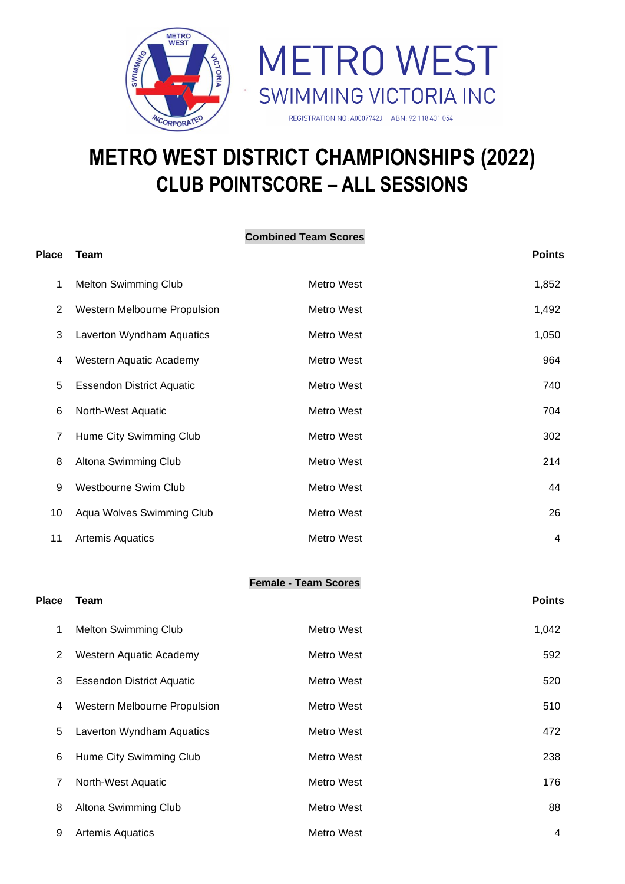



# **METRO WEST DISTRICT CHAMPIONSHIPS (2022) CLUB POINTSCORE – ALL SESSIONS**

| <b>Combined Team Scores</b> |                                  |            |                |  |  |  |  |
|-----------------------------|----------------------------------|------------|----------------|--|--|--|--|
| <b>Place</b>                | Team                             |            | <b>Points</b>  |  |  |  |  |
| 1                           | <b>Melton Swimming Club</b>      | Metro West | 1,852          |  |  |  |  |
| 2                           | Western Melbourne Propulsion     | Metro West | 1,492          |  |  |  |  |
| 3                           | Laverton Wyndham Aquatics        | Metro West | 1,050          |  |  |  |  |
| 4                           | Western Aquatic Academy          | Metro West | 964            |  |  |  |  |
| 5                           | <b>Essendon District Aquatic</b> | Metro West | 740            |  |  |  |  |
| 6                           | North-West Aquatic               | Metro West | 704            |  |  |  |  |
| 7                           | Hume City Swimming Club          | Metro West | 302            |  |  |  |  |
| 8                           | Altona Swimming Club             | Metro West | 214            |  |  |  |  |
| 9                           | <b>Westbourne Swim Club</b>      | Metro West | 44             |  |  |  |  |
| 10                          | Aqua Wolves Swimming Club        | Metro West | 26             |  |  |  |  |
| 11                          | <b>Artemis Aquatics</b>          | Metro West | $\overline{4}$ |  |  |  |  |
|                             |                                  |            |                |  |  |  |  |

#### **Female - Team Scores**

## **Place Team Points**

| 1 | <b>Melton Swimming Club</b>      | Metro West | 1,042 |
|---|----------------------------------|------------|-------|
| 2 | Western Aquatic Academy          | Metro West | 592   |
| 3 | <b>Essendon District Aquatic</b> | Metro West | 520   |
| 4 | Western Melbourne Propulsion     | Metro West | 510   |
| 5 | Laverton Wyndham Aquatics        | Metro West | 472   |
| 6 | Hume City Swimming Club          | Metro West | 238   |
| 7 | North-West Aquatic               | Metro West | 176   |
| 8 | Altona Swimming Club             | Metro West | 88    |
| 9 | <b>Artemis Aquatics</b>          | Metro West | 4     |